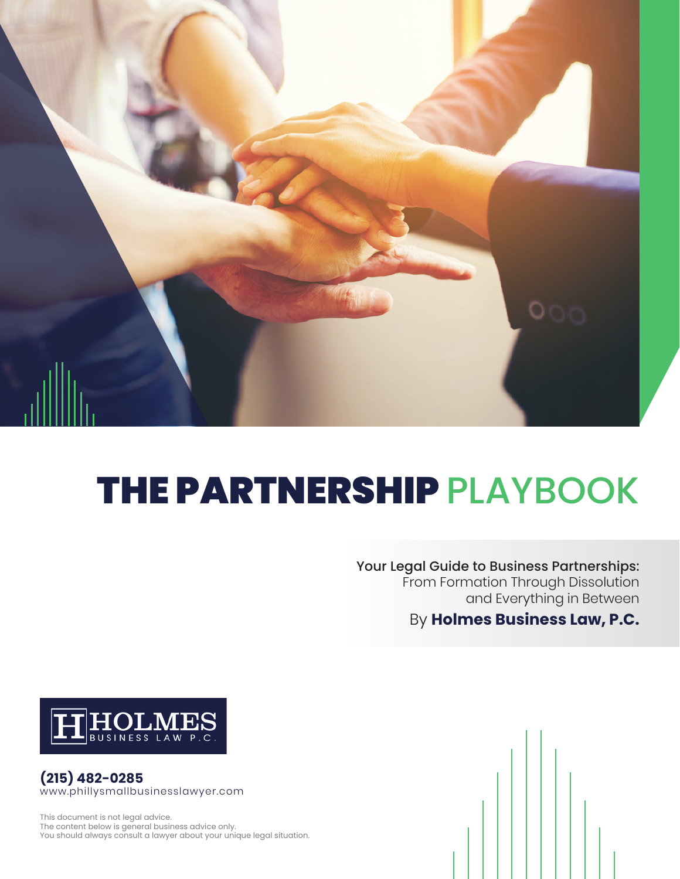

# THE PARTNERSHIP PLAYBOOK

Your Legal Guide to Business Partnerships: From Formation Through Dissolution and Everything in Between

By **Holmes Business Law, P.C.**



**(215) 482-0285** www.phillysmallbusinesslawyer.com

This document is not legal advice. The content below is general business advice only. You should always consult a lawyer about your unique legal situation.

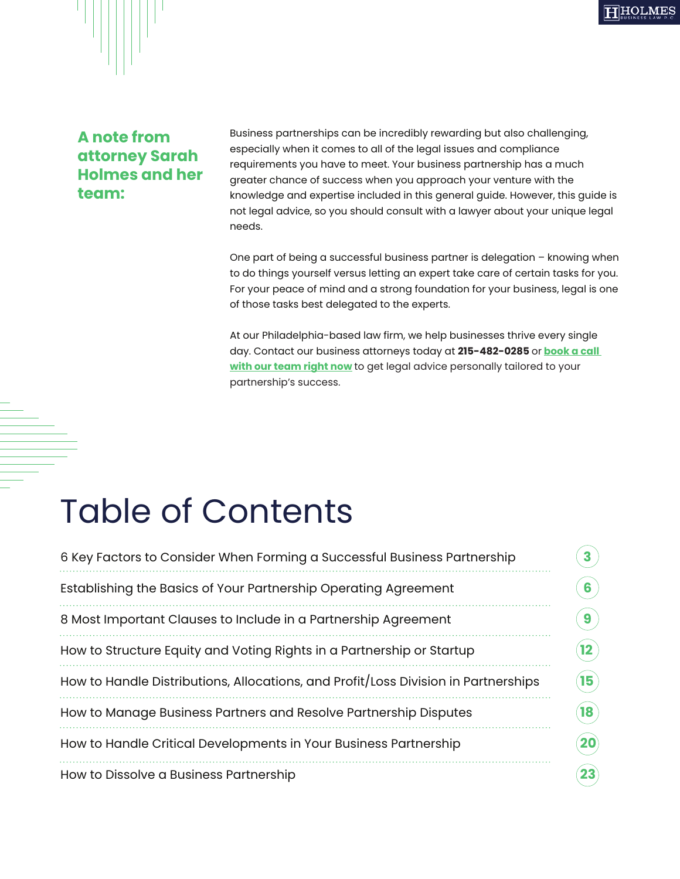

#### **A note from attorney Sarah Holmes and her team:**

Business partnerships can be incredibly rewarding but also challenging, especially when it comes to all of the legal issues and compliance requirements you have to meet. Your business partnership has a much greater chance of success when you approach your venture with the knowledge and expertise included in this general guide. However, this guide is not legal advice, so you should consult with a lawyer about your unique legal needs.

One part of being a successful business partner is delegation – knowing when to do things yourself versus letting an expert take care of certain tasks for you. For your peace of mind and a strong foundation for your business, legal is one of those tasks best delegated to the experts.

At our Philadelphia-based law firm, we help businesses thrive every single day. Contact our business attorneys today at **215-482-0285** or **[book a call](https://calendly.com/info-641/15min)  [with our team right now](https://calendly.com/info-641/15min)** to get legal advice personally tailored to your partnership's success.

# Table of Contents

| 6 Key Factors to Consider When Forming a Successful Business Partnership           |
|------------------------------------------------------------------------------------|
| Establishing the Basics of Your Partnership Operating Agreement                    |
| 8 Most Important Clauses to Include in a Partnership Agreement                     |
| How to Structure Equity and Voting Rights in a Partnership or Startup              |
| How to Handle Distributions, Allocations, and Profit/Loss Division in Partnerships |
| How to Manage Business Partners and Resolve Partnership Disputes                   |
| How to Handle Critical Developments in Your Business Partnership                   |
| How to Dissolve a Business Partnership                                             |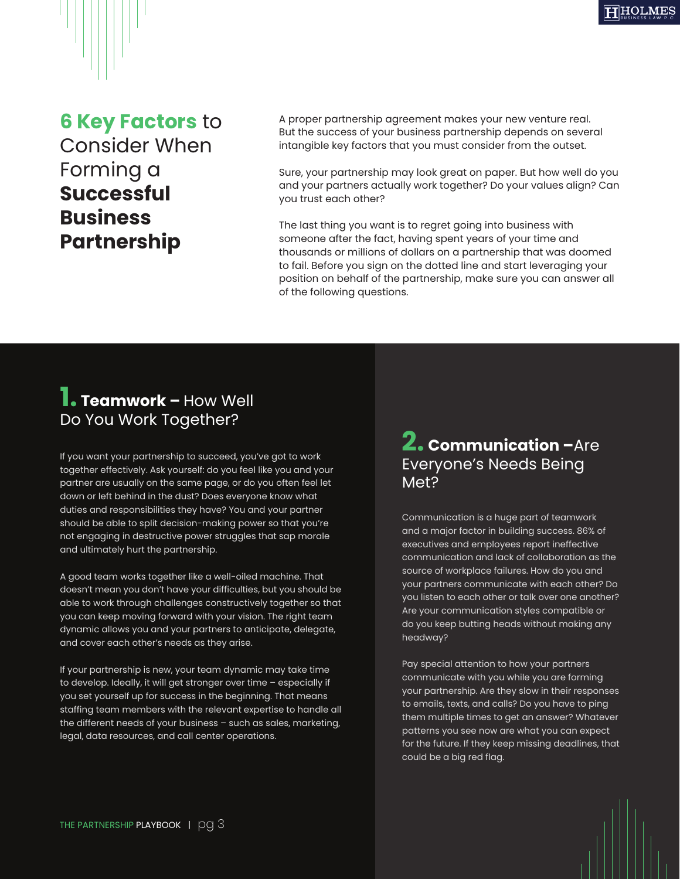### **6 Key Factors** to Consider When Forming a **Successful Business Partnership**

A proper partnership agreement makes your new venture real. But the success of your business partnership depends on several intangible key factors that you must consider from the outset.

Sure, your partnership may look great on paper. But how well do you and your partners actually work together? Do your values align? Can you trust each other?

The last thing you want is to regret going into business with someone after the fact, having spent years of your time and thousands or millions of dollars on a partnership that was doomed to fail. Before you sign on the dotted line and start leveraging your position on behalf of the partnership, make sure you can answer all of the following questions.

### **1. Teamwork –** How Well Do You Work Together?

If you want your partnership to succeed, you've got to work together effectively. Ask yourself: do you feel like you and your partner are usually on the same page, or do you often feel let down or left behind in the dust? Does everyone know what duties and responsibilities they have? You and your partner should be able to split decision-making power so that you're not engaging in destructive power struggles that sap morale and ultimately hurt the partnership.

A good team works together like a well-oiled machine. That doesn't mean you don't have your difficulties, but you should be able to work through challenges constructively together so that you can keep moving forward with your vision. The right team dynamic allows you and your partners to anticipate, delegate, and cover each other's needs as they arise.

If your partnership is new, your team dynamic may take time to develop. Ideally, it will get stronger over time – especially if you set yourself up for success in the beginning. That means staffing team members with the relevant expertise to handle all the different needs of your business – such as sales, marketing, legal, data resources, and call center operations.

### **2. Communication –**Are Everyone's Needs Being Met?

Communication is a huge part of teamwork and a major factor in building success. 86% of executives and employees report ineffective communication and lack of collaboration as the source of workplace failures. How do you and your partners communicate with each other? Do you listen to each other or talk over one another? Are your communication styles compatible or do you keep butting heads without making any headway?

Pay special attention to how your partners communicate with you while you are forming your partnership. Are they slow in their responses to emails, texts, and calls? Do you have to ping them multiple times to get an answer? Whatever patterns you see now are what you can expect for the future. If they keep missing deadlines, that could be a big red flag.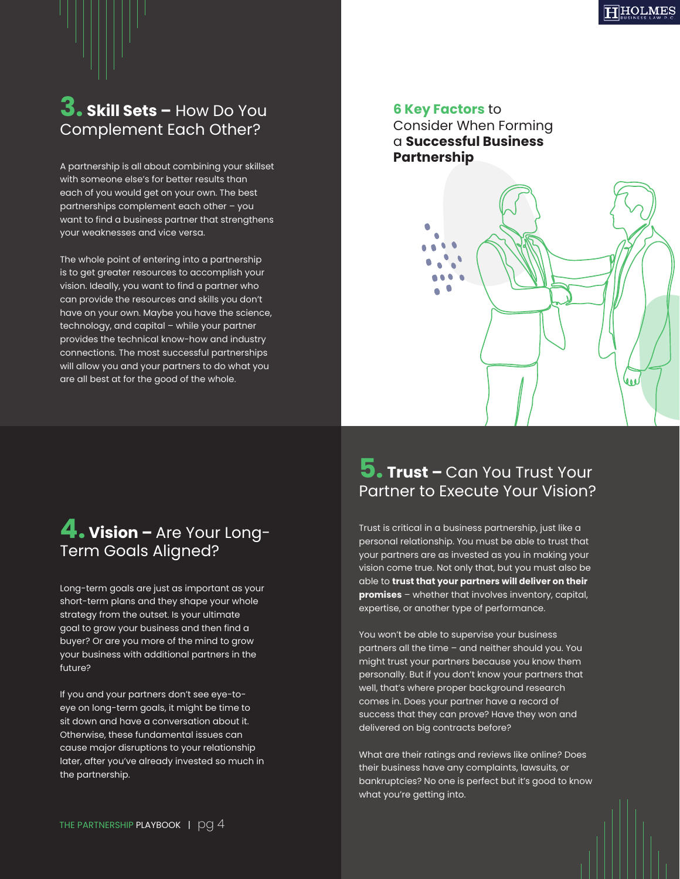**3. Skill Sets –** How Do You Complement Each Other?

A partnership is all about combining your skillset with someone else's for better results than each of you would get on your own. The best partnerships complement each other – you want to find a business partner that strengthens your weaknesses and vice versa.

The whole point of entering into a partnership is to get greater resources to accomplish your vision. Ideally, you want to find a partner who can provide the resources and skills you don't have on your own. Maybe you have the science, technology, and capital – while your partner provides the technical know-how and industry connections. The most successful partnerships will allow you and your partners to do what you are all best at for the good of the whole.

#### **6 Key Factors** to

Consider When Forming a **Successful Business Partnership**



### **4. Vision –** Are Your Long-Term Goals Aligned?

Long-term goals are just as important as your short-term plans and they shape your whole strategy from the outset. Is your ultimate goal to grow your business and then find a buyer? Or are you more of the mind to grow your business with additional partners in the future?

If you and your partners don't see eye-toeye on long-term goals, it might be time to sit down and have a conversation about it. Otherwise, these fundamental issues can cause major disruptions to your relationship later, after you've already invested so much in the partnership.

### **5. Trust –** Can You Trust Your Partner to Execute Your Vision?

Trust is critical in a business partnership, just like a personal relationship. You must be able to trust that your partners are as invested as you in making your vision come true. Not only that, but you must also be able to **trust that your partners will deliver on their promises** – whether that involves inventory, capital, expertise, or another type of performance.

You won't be able to supervise your business partners all the time – and neither should you. You might trust your partners because you know them personally. But if you don't know your partners that well, that's where proper background research comes in. Does your partner have a record of success that they can prove? Have they won and delivered on big contracts before?

What are their ratings and reviews like online? Does their business have any complaints, lawsuits, or bankruptcies? No one is perfect but it's good to know what you're getting into.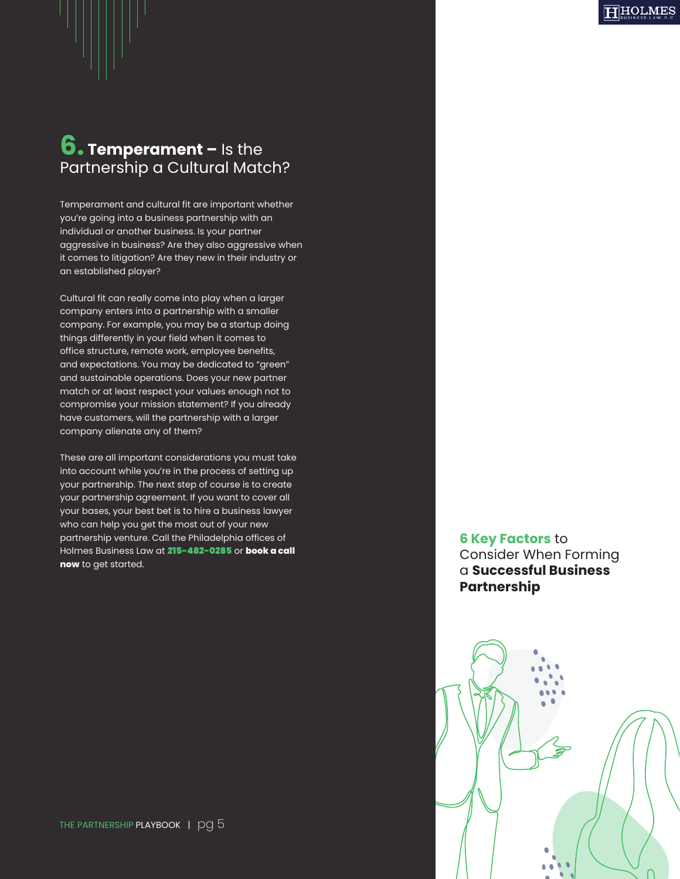### **6. Temperament –** Is the Partnership a Cultural Match?

Temperament and cultural fit are important whether you're going into a business partnership with an individual or another business. Is your partner aggressive in business? Are they also aggressive when it comes to litigation? Are they new in their industry or an established player?

Cultural fit can really come into play when a larger company enters into a partnership with a smaller company. For example, you may be a startup doing things differently in your field when it comes to office structure, remote work, employee benefits, and expectations. You may be dedicated to "green" and sustainable operations. Does your new partner match or at least respect your values enough not to compromise your mission statement? If you already have customers, will the partnership with a larger company alienate any of them?

These are all important considerations you must take into account while you're in the process of setting up your partnership. The next step of course is to create your partnership agreement. If you want to cover all your bases, your best bet is to hire a business lawyer who can help you get the most out of your new partnership venture. Call the Philadelphia offices of Holmes Business Law at 215-482-0285 or **book a call now** to get started.

**6 Key Factors** to Consider When Forming a **Successful Business Partnership**

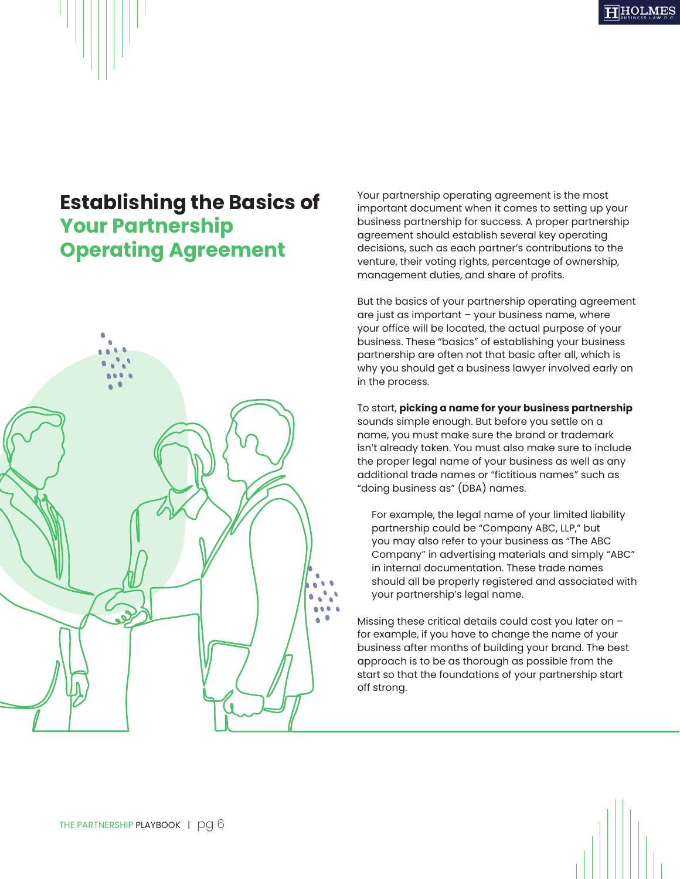### **Establishing the Basics of Your Partnership Operating Agreement**



Your partnership operating agreement is the most important document when it comes to setting up your business partnership for success. A proper partnership agreement should establish several key operating decisions, such as each partner's contributions to the venture, their voting rights, percentage of ownership, management duties, and share of profits.

But the basics of your partnership operating agreement are just as important – your business name, where your office will be located, the actual purpose of your business. These "basics" of establishing your business partnership are often not that basic after all, which is why you should get a business lawyer involved early on in the process.

To start, **picking a name for your business partnership**  sounds simple enough. But before you settle on a name, you must make sure the brand or trademark isn't already taken. You must also make sure to include the proper legal name of your business as well as any additional trade names or "fictitious names" such as "doing business as" (DBA) names.

For example, the legal name of your limited liability partnership could be "Company ABC, LLP," but you may also refer to your business as "The ABC Company" in advertising materials and simply "ABC" in internal documentation. These trade names should all be properly registered and associated with your partnership's legal name.

Missing these critical details could cost you later on – for example, if you have to change the name of your business after months of building your brand. The best approach is to be as thorough as possible from the start so that the foundations of your partnership start off strong.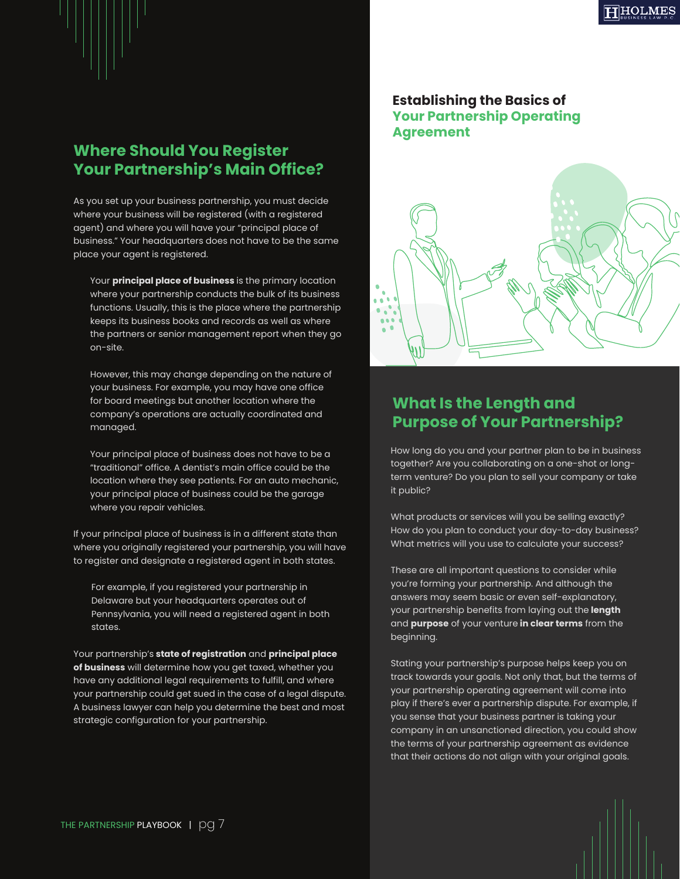### **Where Should You Register Your Partnership's Main Office?**

As you set up your business partnership, you must decide where your business will be registered (with a registered agent) and where you will have your "principal place of business." Your headquarters does not have to be the same place your agent is registered.

Your **principal place of business** is the primary location where your partnership conducts the bulk of its business functions. Usually, this is the place where the partnership keeps its business books and records as well as where the partners or senior management report when they go on-site.

However, this may change depending on the nature of your business. For example, you may have one office for board meetings but another location where the company's operations are actually coordinated and managed.

Your principal place of business does not have to be a "traditional" office. A dentist's main office could be the location where they see patients. For an auto mechanic, your principal place of business could be the garage where you repair vehicles.

If your principal place of business is in a different state than where you originally registered your partnership, you will have to register and designate a registered agent in both states.

For example, if you registered your partnership in Delaware but your headquarters operates out of Pennsylvania, you will need a registered agent in both states.

Your partnership's **state of registration** and **principal place of business** will determine how you get taxed, whether you have any additional legal requirements to fulfill, and where your partnership could get sued in the case of a legal dispute. A business lawyer can help you determine the best and most strategic configuration for your partnership.

#### **Establishing the Basics of Your Partnership Operating Agreement**



#### **What Is the Length and Purpose of Your Partnership?**

How long do you and your partner plan to be in business together? Are you collaborating on a one-shot or longterm venture? Do you plan to sell your company or take it public?

What products or services will you be selling exactly? How do you plan to conduct your day-to-day business? What metrics will you use to calculate your success?

These are all important questions to consider while you're forming your partnership. And although the answers may seem basic or even self-explanatory, your partnership benefits from laying out the **length** and **purpose** of your venture **in clear terms** from the beginning.

Stating your partnership's purpose helps keep you on track towards your goals. Not only that, but the terms of your partnership operating agreement will come into play if there's ever a partnership dispute. For example, if you sense that your business partner is taking your company in an unsanctioned direction, you could show the terms of your partnership agreement as evidence that their actions do not align with your original goals.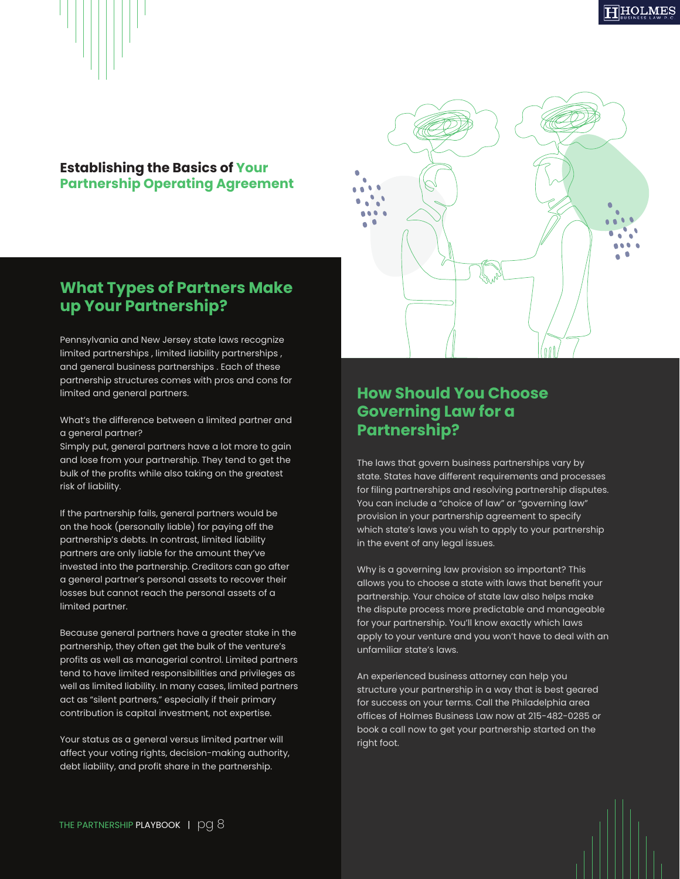

#### **Establishing the Basics of Your Partnership Operating Agreement**

#### **What Types of Partners Make up Your Partnership?**

Pennsylvania and New Jersey state laws recognize limited partnerships , limited liability partnerships , and general business partnerships . Each of these partnership structures comes with pros and cons for limited and general partners.

What's the difference between a limited partner and a general partner?

Simply put, general partners have a lot more to gain and lose from your partnership. They tend to get the bulk of the profits while also taking on the greatest risk of liability.

If the partnership fails, general partners would be on the hook (personally liable) for paying off the partnership's debts. In contrast, limited liability partners are only liable for the amount they've invested into the partnership. Creditors can go after a general partner's personal assets to recover their losses but cannot reach the personal assets of a limited partner.

Because general partners have a greater stake in the partnership, they often get the bulk of the venture's profits as well as managerial control. Limited partners tend to have limited responsibilities and privileges as well as limited liability. In many cases, limited partners act as "silent partners," especially if their primary contribution is capital investment, not expertise.

Your status as a general versus limited partner will affect your voting rights, decision-making authority, debt liability, and profit share in the partnership.



#### **How Should You Choose Governing Law for a Partnership?**

The laws that govern business partnerships vary by state. States have different requirements and processes for filing partnerships and resolving partnership disputes. You can include a "choice of law" or "governing law" provision in your partnership agreement to specify which state's laws you wish to apply to your partnership in the event of any legal issues.

Why is a governing law provision so important? This allows you to choose a state with laws that benefit your partnership. Your choice of state law also helps make the dispute process more predictable and manageable for your partnership. You'll know exactly which laws apply to your venture and you won't have to deal with an unfamiliar state's laws.

An experienced business attorney can help you structure your partnership in a way that is best geared for success on your terms. Call the Philadelphia area offices of Holmes Business Law now at 215-482-0285 or book a call now to get your partnership started on the right foot.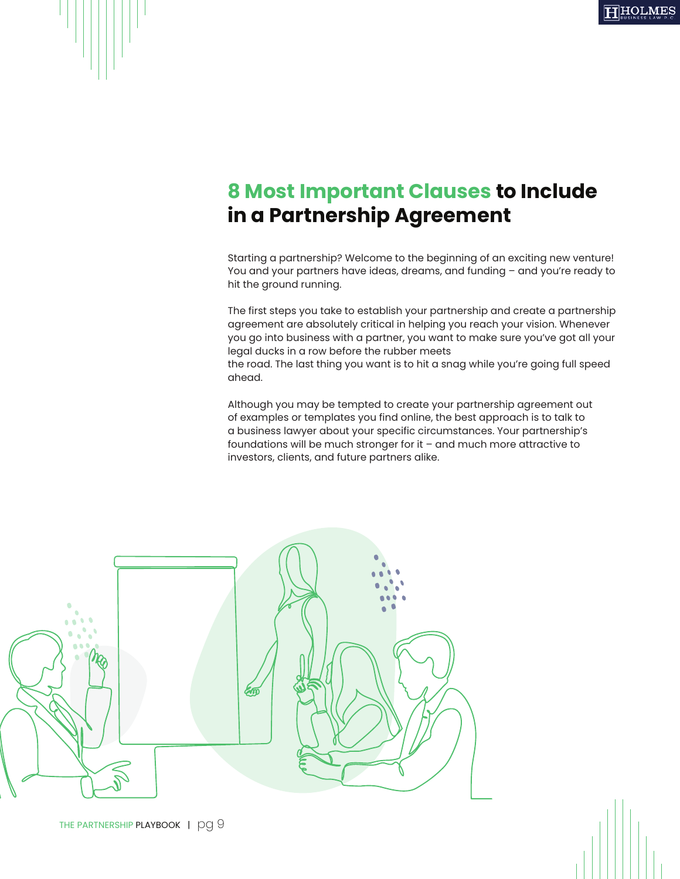### **8 Most Important Clauses to Include in a Partnership Agreement**

Starting a partnership? Welcome to the beginning of an exciting new venture! You and your partners have ideas, dreams, and funding – and you're ready to hit the ground running.

The first steps you take to establish your partnership and create a partnership agreement are absolutely critical in helping you reach your vision. Whenever you go into business with a partner, you want to make sure you've got all your legal ducks in a row before the rubber meets

the road. The last thing you want is to hit a snag while you're going full speed ahead.

Although you may be tempted to create your partnership agreement out of examples or templates you find online, the best approach is to talk to a business lawyer about your specific circumstances. Your partnership's foundations will be much stronger for it – and much more attractive to investors, clients, and future partners alike.

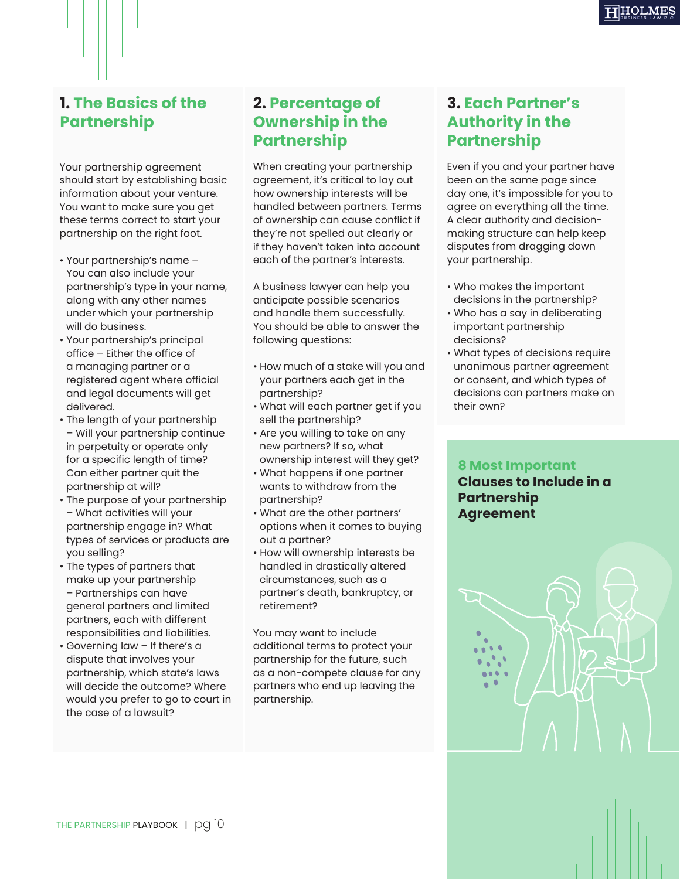

#### **1. The Basics of the Partnership**

Your partnership agreement should start by establishing basic information about your venture. You want to make sure you get these terms correct to start your partnership on the right foot.

- Your partnership's name You can also include your partnership's type in your name, along with any other names under which your partnership will do business.
- Your partnership's principal office – Either the office of a managing partner or a registered agent where official and legal documents will get delivered.
- The length of your partnership – Will your partnership continue in perpetuity or operate only for a specific length of time? Can either partner quit the partnership at will?
- The purpose of your partnership – What activities will your partnership engage in? What types of services or products are you selling?
- The types of partners that make up your partnership – Partnerships can have general partners and limited partners, each with different responsibilities and liabilities.
- Governing law If there's a dispute that involves your partnership, which state's laws will decide the outcome? Where would you prefer to go to court in the case of a lawsuit?

### **2. Percentage of Ownership in the Partnership**

When creating your partnership agreement, it's critical to lay out how ownership interests will be handled between partners. Terms of ownership can cause conflict if they're not spelled out clearly or if they haven't taken into account each of the partner's interests.

A business lawyer can help you anticipate possible scenarios and handle them successfully. You should be able to answer the following questions:

- How much of a stake will you and your partners each get in the partnership?
- What will each partner get if you sell the partnership?
- Are you willing to take on any new partners? If so, what ownership interest will they get?
- What happens if one partner wants to withdraw from the partnership?
- What are the other partners' options when it comes to buying out a partner?
- How will ownership interests be handled in drastically altered circumstances, such as a partner's death, bankruptcy, or retirement?

You may want to include additional terms to protect your partnership for the future, such as a non-compete clause for any partners who end up leaving the partnership.

### **3. Each Partner's Authority in the Partnership**

Even if you and your partner have been on the same page since day one, it's impossible for you to agree on everything all the time. A clear authority and decisionmaking structure can help keep disputes from dragging down your partnership.

- Who makes the important decisions in the partnership?
- Who has a say in deliberating important partnership decisions?
- What types of decisions require unanimous partner agreement or consent, and which types of decisions can partners make on their own?

#### **8 Most Important Clauses to Include in a Partnership Agreement**

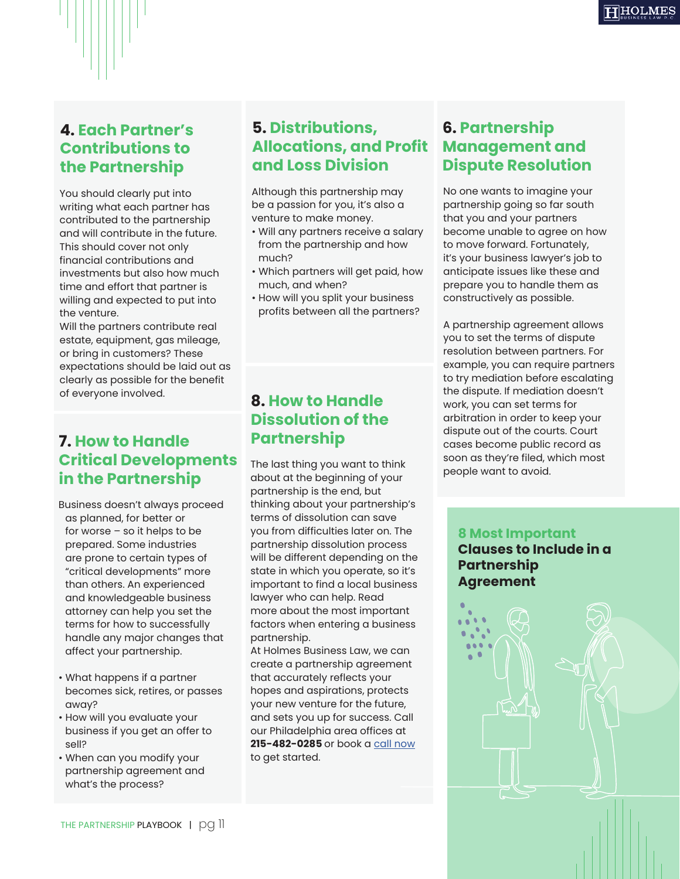### **4. Each Partner's Contributions to the Partnership**

You should clearly put into writing what each partner has contributed to the partnership and will contribute in the future. This should cover not only financial contributions and investments but also how much time and effort that partner is willing and expected to put into the venture.

Will the partners contribute real estate, equipment, gas mileage, or bring in customers? These expectations should be laid out as clearly as possible for the benefit of everyone involved.

#### **7. How to Handle Critical Developments in the Partnership**

Business doesn't always proceed as planned, for better or

for worse – so it helps to be prepared. Some industries are prone to certain types of "critical developments" more than others. An experienced and knowledgeable business attorney can help you set the terms for how to successfully handle any major changes that affect your partnership.

- What happens if a partner becomes sick, retires, or passes away?
- How will you evaluate your business if you get an offer to sell?
- When can you modify your partnership agreement and what's the process?

#### **5. Distributions, Allocations, and Profit and Loss Division**

Although this partnership may be a passion for you, it's also a venture to make money.

- Will any partners receive a salary from the partnership and how much?
- Which partners will get paid, how much, and when?
- How will you split your business profits between all the partners?

#### **8. How to Handle Dissolution of the Partnership**

The last thing you want to think about at the beginning of your partnership is the end, but thinking about your partnership's terms of dissolution can save you from difficulties later on. The partnership dissolution process will be different depending on the state in which you operate, so it's important to find a local business lawyer who can help. Read more about the most important factors when entering a business partnership.

At Holmes Business Law, we can create a partnership agreement that accurately reflects your hopes and aspirations, protects your new venture for the future, and sets you up for success. Call our Philadelphia area offices at **215-482-0285** or book a [call now](https://calendly.com/info-641/15min) to get started.

#### **6. Partnership Management and Dispute Resolution**

No one wants to imagine your partnership going so far south that you and your partners become unable to agree on how to move forward. Fortunately, it's your business lawyer's job to anticipate issues like these and prepare you to handle them as constructively as possible.

A partnership agreement allows you to set the terms of dispute resolution between partners. For example, you can require partners to try mediation before escalating the dispute. If mediation doesn't work, you can set terms for arbitration in order to keep your dispute out of the courts. Court cases become public record as soon as they're filed, which most people want to avoid.

#### **8 Most Important**

 $\mathbf{A}$ a a 669.0  $\bullet$ 

#### **Clauses to Include in a Partnership Agreement**

THE PARTNERSHIP PLAYBOOK | pg 11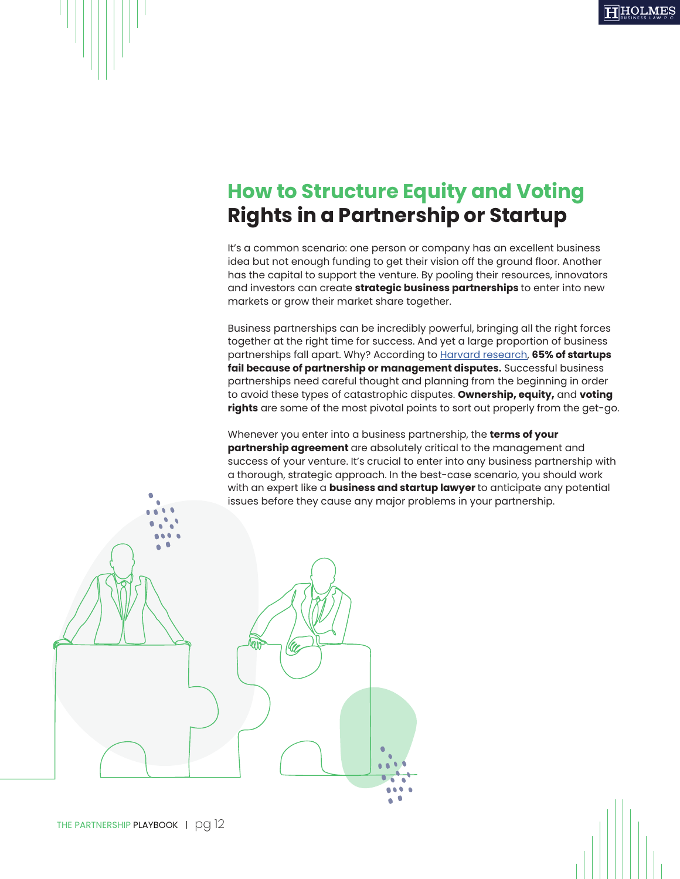### **How to Structure Equity and Voting Rights in a Partnership or Startup**

It's a common scenario: one person or company has an excellent business idea but not enough funding to get their vision off the ground floor. Another has the capital to support the venture. By pooling their resources, innovators and investors can create **strategic business partnerships** to enter into new markets or grow their market share together.

Business partnerships can be incredibly powerful, bringing all the right forces together at the right time for success. And yet a large proportion of business partnerships fall apart. Why? According to [Harvard research,](https://fortune.com/2015/09/15/skimlinks-ceo-why-startups-fail/) **65% of startups fail because of partnership or management disputes.** Successful business partnerships need careful thought and planning from the beginning in order to avoid these types of catastrophic disputes. **Ownership, equity,** and **voting rights** are some of the most pivotal points to sort out properly from the get-go.

Whenever you enter into a business partnership, the **terms of your partnership agreement** are absolutely critical to the management and success of your venture. It's crucial to enter into any business partnership with a thorough, strategic approach. In the best-case scenario, you should work with an expert like a **business and startup lawyer** to anticipate any potential issues before they cause any major problems in your partnership.

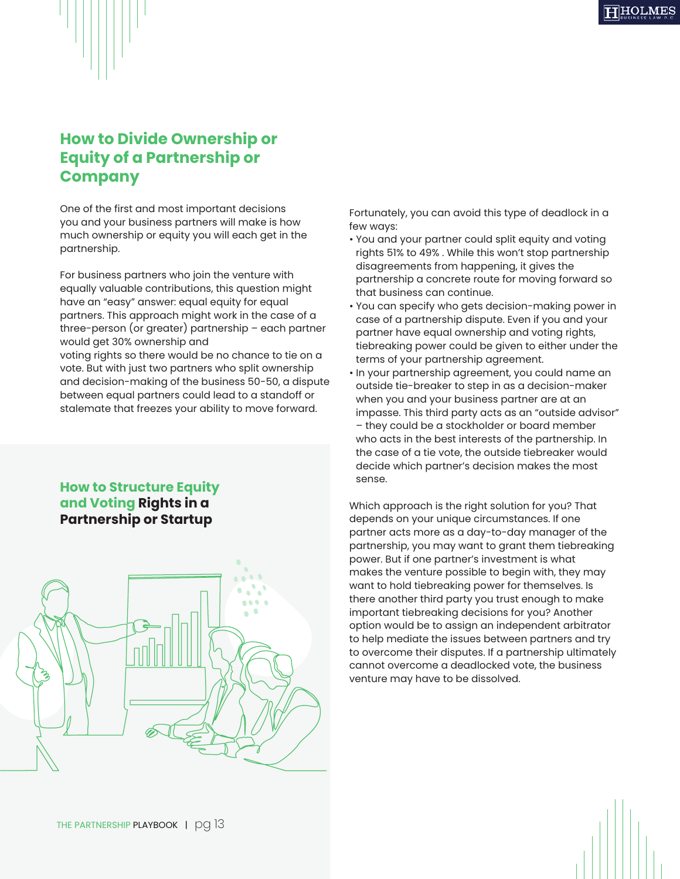

One of the first and most important decisions you and your business partners will make is how much ownership or equity you will each get in the partnership.

For business partners who join the venture with equally valuable contributions, this question might have an "easy" answer: equal equity for equal partners. This approach might work in the case of a three-person (or greater) partnership – each partner would get 30% ownership and voting rights so there would be no chance to tie on a vote. But with just two partners who split ownership and decision-making of the business 50-50, a dispute between equal partners could lead to a standoff or stalemate that freezes your ability to move forward.

#### **How to Structure Equity and Voting Rights in a Partnership or Startup**



Fortunately, you can avoid this type of deadlock in a few ways:

- You and your partner could split equity and voting rights 51% to 49% . While this won't stop partnership disagreements from happening, it gives the partnership a concrete route for moving forward so that business can continue.
- You can specify who gets decision-making power in case of a partnership dispute. Even if you and your partner have equal ownership and voting rights, tiebreaking power could be given to either under the terms of your partnership agreement.
- In your partnership agreement, you could name an outside tie-breaker to step in as a decision-maker when you and your business partner are at an impasse. This third party acts as an "outside advisor" – they could be a stockholder or board member who acts in the best interests of the partnership. In the case of a tie vote, the outside tiebreaker would decide which partner's decision makes the most sense.

Which approach is the right solution for you? That depends on your unique circumstances. If one partner acts more as a day-to-day manager of the partnership, you may want to grant them tiebreaking power. But if one partner's investment is what makes the venture possible to begin with, they may want to hold tiebreaking power for themselves. Is there another third party you trust enough to make important tiebreaking decisions for you? Another option would be to assign an independent arbitrator to help mediate the issues between partners and try to overcome their disputes. If a partnership ultimately cannot overcome a deadlocked vote, the business venture may have to be dissolved.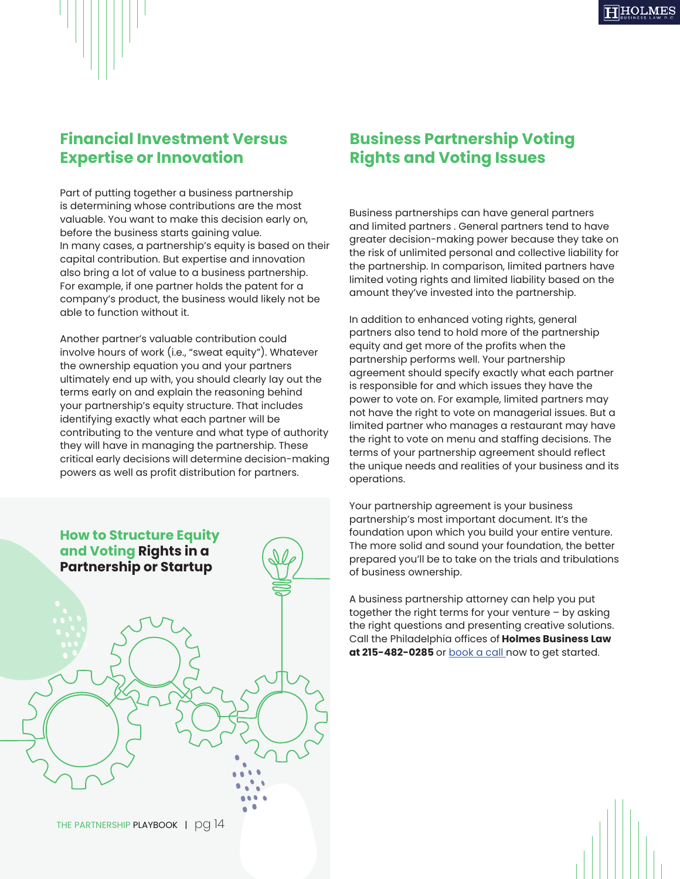#### **Financial Investment Versus Expertise or Innovation**

Part of putting together a business partnership is determining whose contributions are the most valuable. You want to make this decision early on, before the business starts gaining value. In many cases, a partnership's equity is based on their capital contribution. But expertise and innovation also bring a lot of value to a business partnership. For example, if one partner holds the patent for a company's product, the business would likely not be able to function without it.

Another partner's valuable contribution could involve hours of work (i.e., "sweat equity"). Whatever the ownership equation you and your partners ultimately end up with, you should clearly lay out the terms early on and explain the reasoning behind your partnership's equity structure. That includes identifying exactly what each partner will be contributing to the venture and what type of authority they will have in managing the partnership. These critical early decisions will determine decision-making powers as well as profit distribution for partners.



#### **Business Partnership Voting Rights and Voting Issues**

Business partnerships can have general partners and limited partners . General partners tend to have greater decision-making power because they take on the risk of unlimited personal and collective liability for the partnership. In comparison, limited partners have limited voting rights and limited liability based on the amount they've invested into the partnership.

In addition to enhanced voting rights, general partners also tend to hold more of the partnership equity and get more of the profits when the partnership performs well. Your partnership agreement should specify exactly what each partner is responsible for and which issues they have the power to vote on. For example, limited partners may not have the right to vote on managerial issues. But a limited partner who manages a restaurant may have the right to vote on menu and staffing decisions. The terms of your partnership agreement should reflect the unique needs and realities of your business and its operations.

Your partnership agreement is your business partnership's most important document. It's the foundation upon which you build your entire venture. The more solid and sound your foundation, the better prepared you'll be to take on the trials and tribulations of business ownership.

A business partnership attorney can help you put together the right terms for your venture – by asking the right questions and presenting creative solutions. Call the Philadelphia offices of **Holmes Business Law**  at 215-482-0285 or **book a call** now to get started.

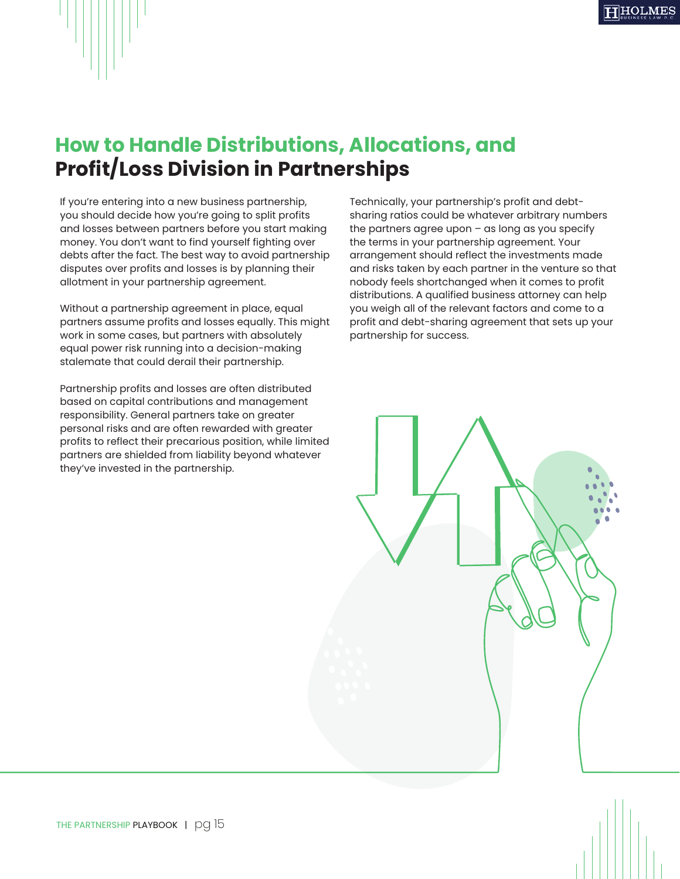

### **How to Handle Distributions, Allocations, and Profit/Loss Division in Partnerships**

If you're entering into a new business partnership, you should decide how you're going to split profits and losses between partners before you start making money. You don't want to find yourself fighting over debts after the fact. The best way to avoid partnership disputes over profits and losses is by planning their allotment in your partnership agreement.

Without a partnership agreement in place, equal partners assume profits and losses equally. This might work in some cases, but partners with absolutely equal power risk running into a decision-making stalemate that could derail their partnership.

Partnership profits and losses are often distributed based on capital contributions and management responsibility. General partners take on greater personal risks and are often rewarded with greater profits to reflect their precarious position, while limited partners are shielded from liability beyond whatever they've invested in the partnership.

Technically, your partnership's profit and debtsharing ratios could be whatever arbitrary numbers the partners agree upon  $-$  as long as you specify the terms in your partnership agreement. Your arrangement should reflect the investments made and risks taken by each partner in the venture so that nobody feels shortchanged when it comes to profit distributions. A qualified business attorney can help you weigh all of the relevant factors and come to a profit and debt-sharing agreement that sets up your partnership for success.

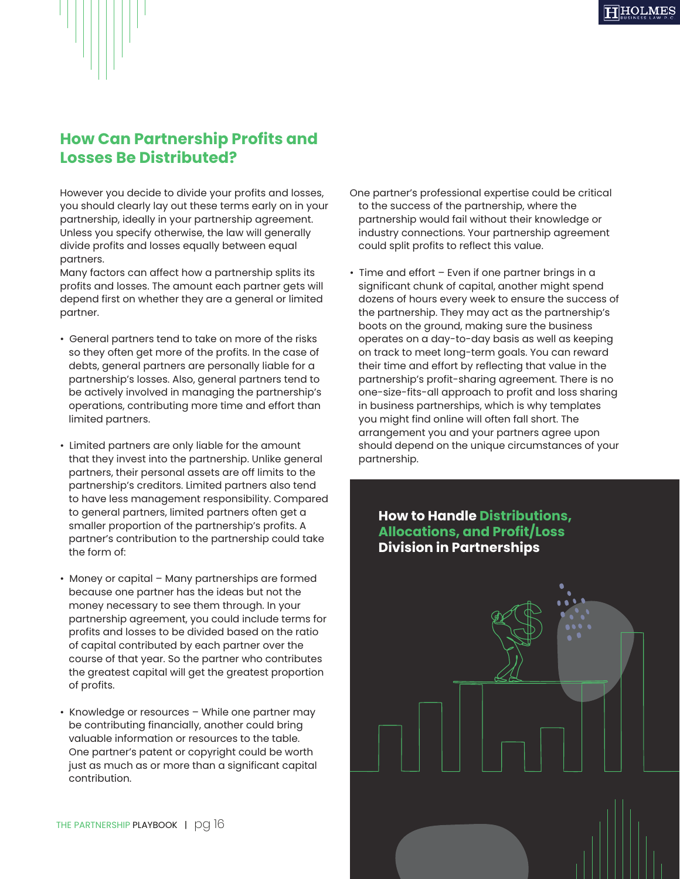

#### **How Can Partnership Profits and Losses Be Distributed?**

However you decide to divide your profits and losses, you should clearly lay out these terms early on in your partnership, ideally in your partnership agreement. Unless you specify otherwise, the law will generally divide profits and losses equally between equal partners.

Many factors can affect how a partnership splits its profits and losses. The amount each partner gets will depend first on whether they are a general or limited partner.

- General partners tend to take on more of the risks so they often get more of the profits. In the case of debts, general partners are personally liable for a partnership's losses. Also, general partners tend to be actively involved in managing the partnership's operations, contributing more time and effort than limited partners.
- Limited partners are only liable for the amount that they invest into the partnership. Unlike general partners, their personal assets are off limits to the partnership's creditors. Limited partners also tend to have less management responsibility. Compared to general partners, limited partners often get a smaller proportion of the partnership's profits. A partner's contribution to the partnership could take the form of:
- Money or capital Many partnerships are formed because one partner has the ideas but not the money necessary to see them through. In your partnership agreement, you could include terms for profits and losses to be divided based on the ratio of capital contributed by each partner over the course of that year. So the partner who contributes the greatest capital will get the greatest proportion of profits.
- Knowledge or resources While one partner may be contributing financially, another could bring valuable information or resources to the table. One partner's patent or copyright could be worth just as much as or more than a significant capital contribution.
- One partner's professional expertise could be critical to the success of the partnership, where the partnership would fail without their knowledge or industry connections. Your partnership agreement could split profits to reflect this value.
- Time and effort Even if one partner brings in a significant chunk of capital, another might spend dozens of hours every week to ensure the success of the partnership. They may act as the partnership's boots on the ground, making sure the business operates on a day-to-day basis as well as keeping on track to meet long-term goals. You can reward their time and effort by reflecting that value in the partnership's profit-sharing agreement. There is no one-size-fits-all approach to profit and loss sharing in business partnerships, which is why templates you might find online will often fall short. The arrangement you and your partners agree upon should depend on the unique circumstances of your partnership.

#### **How to Handle Distributions, Allocations, and Profit/Loss Division in Partnerships**

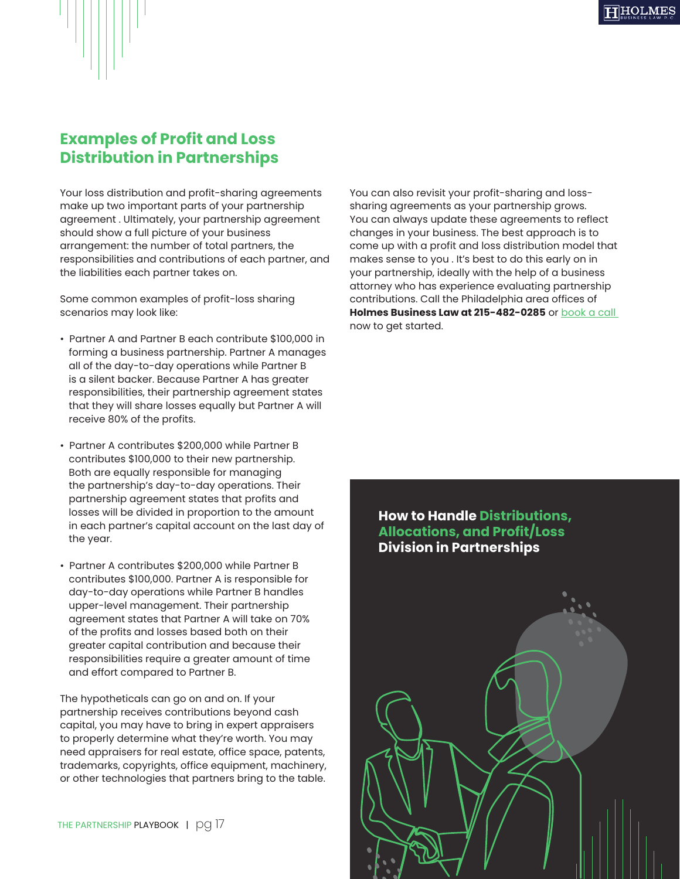

#### **Examples of Profit and Loss Distribution in Partnerships**

Your loss distribution and profit-sharing agreements make up two important parts of your partnership agreement . Ultimately, your partnership agreement should show a full picture of your business arrangement: the number of total partners, the responsibilities and contributions of each partner, and the liabilities each partner takes on.

Some common examples of profit-loss sharing scenarios may look like:

- Partner A and Partner B each contribute \$100,000 in forming a business partnership. Partner A manages all of the day-to-day operations while Partner B is a silent backer. Because Partner A has greater responsibilities, their partnership agreement states that they will share losses equally but Partner A will receive 80% of the profits.
- Partner A contributes \$200,000 while Partner B contributes \$100,000 to their new partnership. Both are equally responsible for managing the partnership's day-to-day operations. Their partnership agreement states that profits and losses will be divided in proportion to the amount in each partner's capital account on the last day of the year.
- Partner A contributes \$200,000 while Partner B contributes \$100,000. Partner A is responsible for day-to-day operations while Partner B handles upper-level management. Their partnership agreement states that Partner A will take on 70% of the profits and losses based both on their greater capital contribution and because their responsibilities require a greater amount of time and effort compared to Partner B.

The hypotheticals can go on and on. If your partnership receives contributions beyond cash capital, you may have to bring in expert appraisers to properly determine what they're worth. You may need appraisers for real estate, office space, patents, trademarks, copyrights, office equipment, machinery, or other technologies that partners bring to the table.

THE PARTNERSHIP PLAYBOOK | pg 17

You can also revisit your profit-sharing and losssharing agreements as your partnership grows. You can always update these agreements to reflect changes in your business. The best approach is to come up with a profit and loss distribution model that makes sense to you . It's best to do this early on in your partnership, ideally with the help of a business attorney who has experience evaluating partnership contributions. Call the Philadelphia area offices of **Holmes Business Law at 215-482-0285** or [book a call](https://calendly.com/info-641/15min)  now to get started.

#### **How to Handle Distributions, Allocations, and Profit/Loss Division in Partnerships**

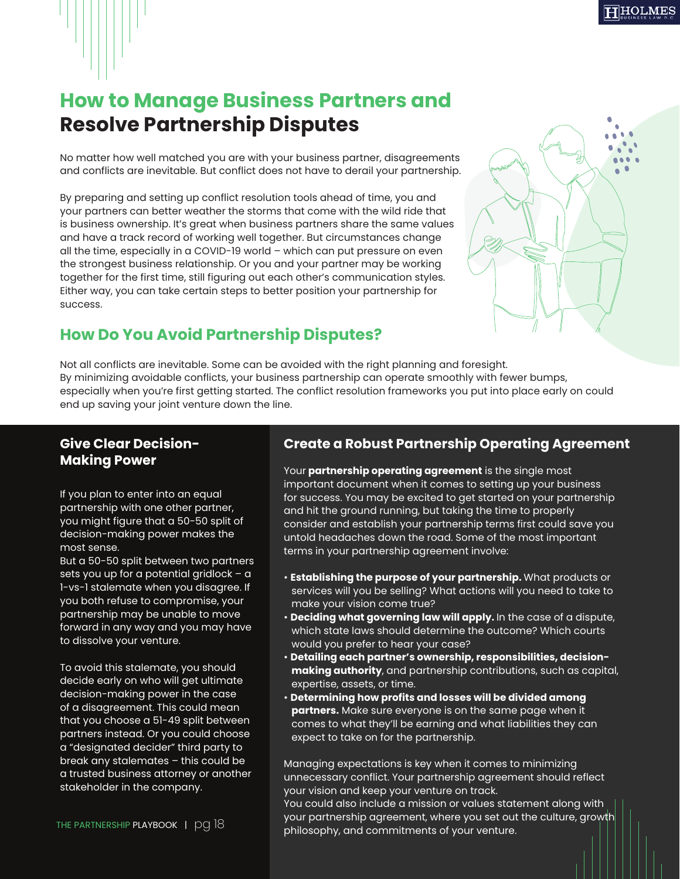

## **How to Manage Business Partners and Resolve Partnership Disputes**

No matter how well matched you are with your business partner, disagreements and conflicts are inevitable. But conflict does not have to derail your partnership.

By preparing and setting up conflict resolution tools ahead of time, you and your partners can better weather the storms that come with the wild ride that is business ownership. It's great when business partners share the same values and have a track record of working well together. But circumstances change all the time, especially in a COVID-19 world – which can put pressure on even the strongest business relationship. Or you and your partner may be working together for the first time, still figuring out each other's communication styles. Either way, you can take certain steps to better position your partnership for success.

### **How Do You Avoid Partnership Disputes?**



Not all conflicts are inevitable. Some can be avoided with the right planning and foresight. By minimizing avoidable conflicts, your business partnership can operate smoothly with fewer bumps, especially when you're first getting started. The conflict resolution frameworks you put into place early on could end up saving your joint venture down the line.

#### **Give Clear Decision-Making Power**

If you plan to enter into an equal partnership with one other partner, you might figure that a 50-50 split of decision-making power makes the most sense.

But a 50-50 split between two partners sets you up for a potential gridlock – a 1-vs-1 stalemate when you disagree. If you both refuse to compromise, your partnership may be unable to move forward in any way and you may have to dissolve your venture.

To avoid this stalemate, you should decide early on who will get ultimate decision-making power in the case of a disagreement. This could mean that you choose a 51-49 split between partners instead. Or you could choose a "designated decider" third party to break any stalemates – this could be a trusted business attorney or another stakeholder in the company.

#### **Create a Robust Partnership Operating Agreement**

Your **partnership operating agreement** is the single most important document when it comes to setting up your business for success. You may be excited to get started on your partnership and hit the ground running, but taking the time to properly consider and establish your partnership terms first could save you untold headaches down the road. Some of the most important terms in your partnership agreement involve:

- **Establishing the purpose of your partnership.** What products or services will you be selling? What actions will you need to take to make your vision come true?
- **Deciding what governing law will apply.** In the case of a dispute, which state laws should determine the outcome? Which courts would you prefer to hear your case?
- **Detailing each partner's ownership, responsibilities, decisionmaking authority**, and partnership contributions, such as capital, expertise, assets, or time.
- **Determining how profits and losses will be divided among partners.** Make sure everyone is on the same page when it comes to what they'll be earning and what liabilities they can expect to take on for the partnership.

Managing expectations is key when it comes to minimizing unnecessary conflict. Your partnership agreement should reflect your vision and keep your venture on track.

You could also include a mission or values statement along with your partnership agreement, where you set out the culture, growth philosophy, and commitments of your venture.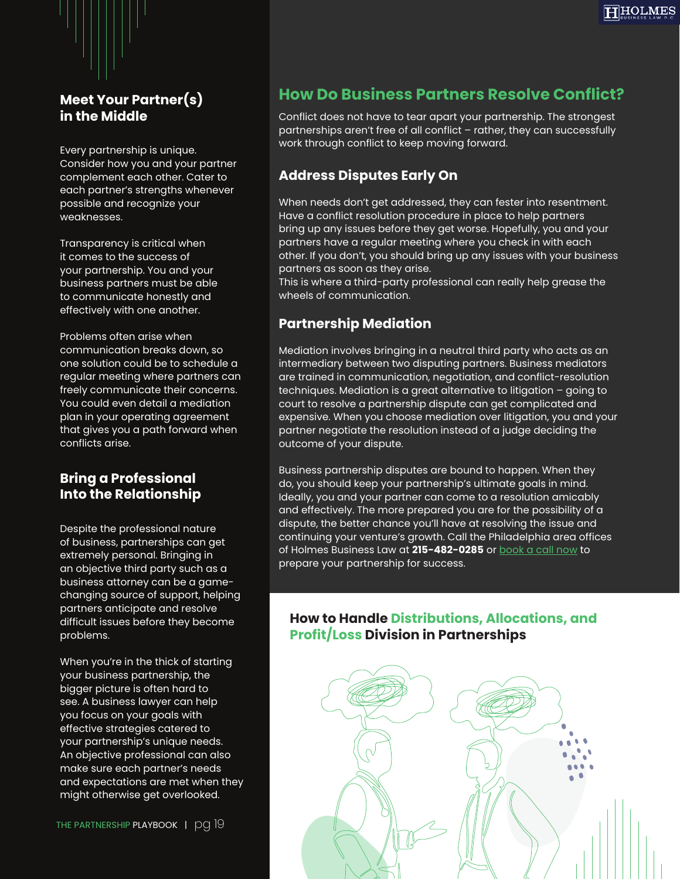

#### **Meet Your Partner(s) in the Middle**

Every partnership is unique. Consider how you and your partner complement each other. Cater to each partner's strengths whenever possible and recognize your weaknesses.

Transparency is critical when it comes to the success of your partnership. You and your business partners must be able to communicate honestly and effectively with one another.

Problems often arise when communication breaks down, so one solution could be to schedule a regular meeting where partners can freely communicate their concerns. You could even detail a mediation plan in your operating agreement that gives you a path forward when conflicts arise.

#### **Bring a Professional Into the Relationship**

Despite the professional nature of business, partnerships can get extremely personal. Bringing in an objective third party such as a business attorney can be a gamechanging source of support, helping partners anticipate and resolve difficult issues before they become problems.

When you're in the thick of starting your business partnership, the bigger picture is often hard to see. A business lawyer can help you focus on your goals with effective strategies catered to your partnership's unique needs. An objective professional can also make sure each partner's needs and expectations are met when they might otherwise get overlooked.

#### **How Do Business Partners Resolve Conflict?**

Conflict does not have to tear apart your partnership. The strongest partnerships aren't free of all conflict – rather, they can successfully work through conflict to keep moving forward.

#### **Address Disputes Early On**

When needs don't get addressed, they can fester into resentment. Have a conflict resolution procedure in place to help partners bring up any issues before they get worse. Hopefully, you and your partners have a regular meeting where you check in with each other. If you don't, you should bring up any issues with your business partners as soon as they arise.

This is where a third-party professional can really help grease the wheels of communication.

#### **Partnership Mediation**

Mediation involves bringing in a neutral third party who acts as an intermediary between two disputing partners. Business mediators are trained in communication, negotiation, and conflict-resolution techniques. Mediation is a great alternative to litigation – going to court to resolve a partnership dispute can get complicated and expensive. When you choose mediation over litigation, you and your partner negotiate the resolution instead of a judge deciding the outcome of your dispute.

Business partnership disputes are bound to happen. When they do, you should keep your partnership's ultimate goals in mind. Ideally, you and your partner can come to a resolution amicably and effectively. The more prepared you are for the possibility of a dispute, the better chance you'll have at resolving the issue and continuing your venture's growth. Call the Philadelphia area offices of Holmes Business Law at **215-482-0285** or [book a call now](https://calendly.com/info-641/15min) to prepare your partnership for success.

#### **How to Handle Distributions, Allocations, and Profit/Loss Division in Partnerships**

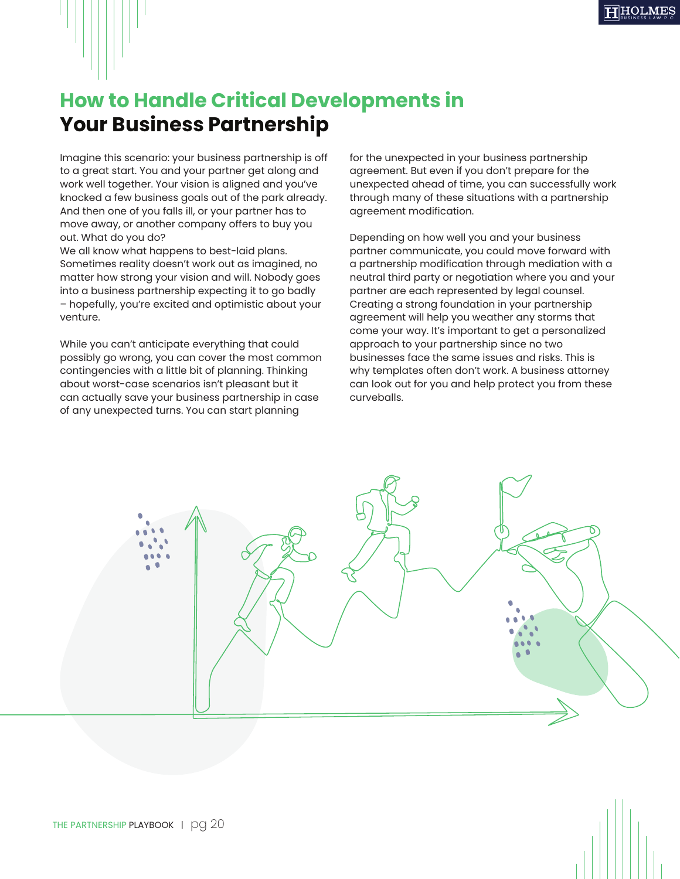## **How to Handle Critical Developments in Your Business Partnership**

Imagine this scenario: your business partnership is off to a great start. You and your partner get along and work well together. Your vision is aligned and you've knocked a few business goals out of the park already. And then one of you falls ill, or your partner has to move away, or another company offers to buy you out. What do you do?

We all know what happens to best-laid plans. Sometimes reality doesn't work out as imagined, no matter how strong your vision and will. Nobody goes into a business partnership expecting it to go badly – hopefully, you're excited and optimistic about your venture.

While you can't anticipate everything that could possibly go wrong, you can cover the most common contingencies with a little bit of planning. Thinking about worst-case scenarios isn't pleasant but it can actually save your business partnership in case of any unexpected turns. You can start planning

for the unexpected in your business partnership agreement. But even if you don't prepare for the unexpected ahead of time, you can successfully work through many of these situations with a partnership agreement modification.

Depending on how well you and your business partner communicate, you could move forward with a partnership modification through mediation with a neutral third party or negotiation where you and your partner are each represented by legal counsel. Creating a strong foundation in your partnership agreement will help you weather any storms that come your way. It's important to get a personalized approach to your partnership since no two businesses face the same issues and risks. This is why templates often don't work. A business attorney can look out for you and help protect you from these curveballs.

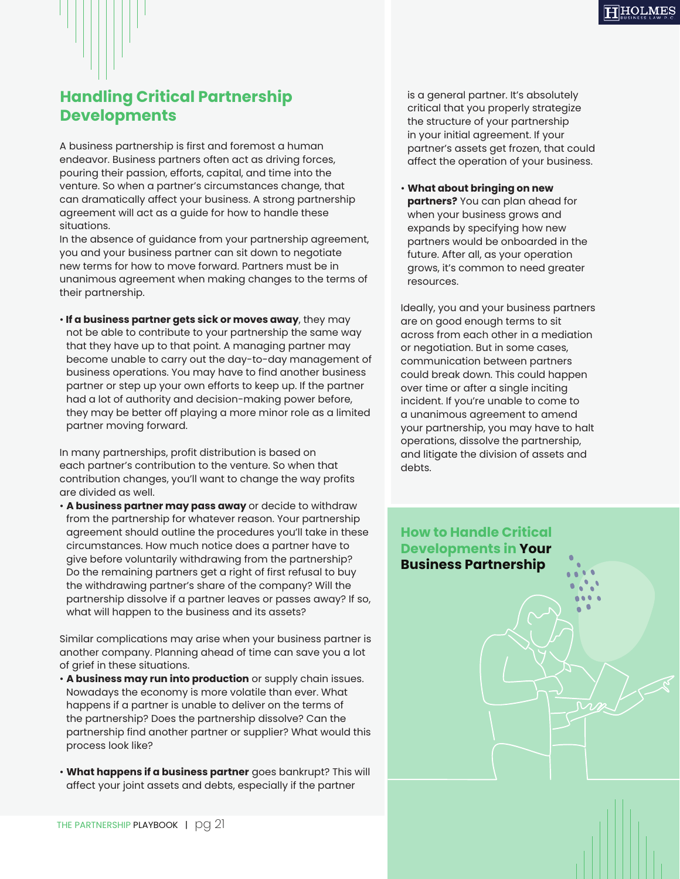

### **Handling Critical Partnership Developments**

A business partnership is first and foremost a human endeavor. Business partners often act as driving forces, pouring their passion, efforts, capital, and time into the venture. So when a partner's circumstances change, that can dramatically affect your business. A strong partnership agreement will act as a guide for how to handle these situations.

In the absence of guidance from your partnership agreement, you and your business partner can sit down to negotiate new terms for how to move forward. Partners must be in unanimous agreement when making changes to the terms of their partnership.

• **If a business partner gets sick or moves away**, they may not be able to contribute to your partnership the same way that they have up to that point. A managing partner may become unable to carry out the day-to-day management of business operations. You may have to find another business partner or step up your own efforts to keep up. If the partner had a lot of authority and decision-making power before, they may be better off playing a more minor role as a limited partner moving forward.

In many partnerships, profit distribution is based on each partner's contribution to the venture. So when that contribution changes, you'll want to change the way profits are divided as well.

• **A business partner may pass away** or decide to withdraw from the partnership for whatever reason. Your partnership agreement should outline the procedures you'll take in these circumstances. How much notice does a partner have to give before voluntarily withdrawing from the partnership? Do the remaining partners get a right of first refusal to buy the withdrawing partner's share of the company? Will the partnership dissolve if a partner leaves or passes away? If so, what will happen to the business and its assets?

Similar complications may arise when your business partner is another company. Planning ahead of time can save you a lot of grief in these situations.

- **A business may run into production** or supply chain issues. Nowadays the economy is more volatile than ever. What happens if a partner is unable to deliver on the terms of the partnership? Does the partnership dissolve? Can the partnership find another partner or supplier? What would this process look like?
- **What happens if a business partner** goes bankrupt? This will affect your joint assets and debts, especially if the partner

is a general partner. It's absolutely critical that you properly strategize the structure of your partnership in your initial agreement. If your partner's assets get frozen, that could affect the operation of your business.

• **What about bringing on new partners?** You can plan ahead for when your business grows and expands by specifying how new partners would be onboarded in the future. After all, as your operation grows, it's common to need greater resources.

Ideally, you and your business partners are on good enough terms to sit across from each other in a mediation or negotiation. But in some cases, communication between partners could break down. This could happen over time or after a single inciting incident. If you're unable to come to a unanimous agreement to amend your partnership, you may have to halt operations, dissolve the partnership, and litigate the division of assets and debts.

#### **How to Handle Critical Developments in Your Business Partnership**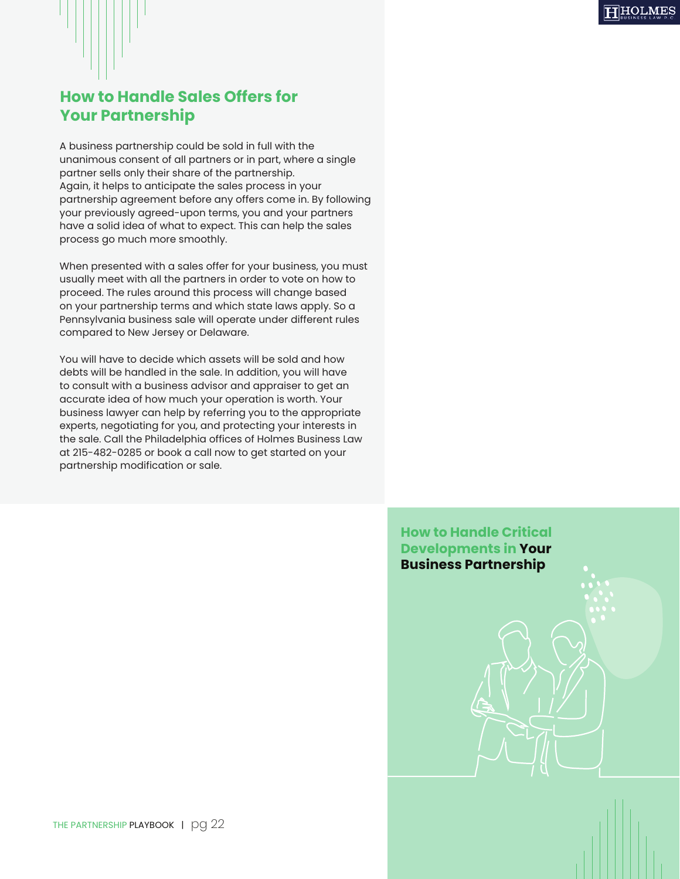### **How to Handle Sales Offers for Your Partnership**

A business partnership could be sold in full with the unanimous consent of all partners or in part, where a single partner sells only their share of the partnership. Again, it helps to anticipate the sales process in your partnership agreement before any offers come in. By following your previously agreed-upon terms, you and your partners have a solid idea of what to expect. This can help the sales process go much more smoothly.

When presented with a sales offer for your business, you must usually meet with all the partners in order to vote on how to proceed. The rules around this process will change based on your partnership terms and which state laws apply. So a Pennsylvania business sale will operate under different rules compared to New Jersey or Delaware.

You will have to decide which assets will be sold and how debts will be handled in the sale. In addition, you will have to consult with a business advisor and appraiser to get an accurate idea of how much your operation is worth. Your business lawyer can help by referring you to the appropriate experts, negotiating for you, and protecting your interests in the sale. Call the Philadelphia offices of Holmes Business Law at 215-482-0285 or book a call now to get started on your partnership modification or sale.

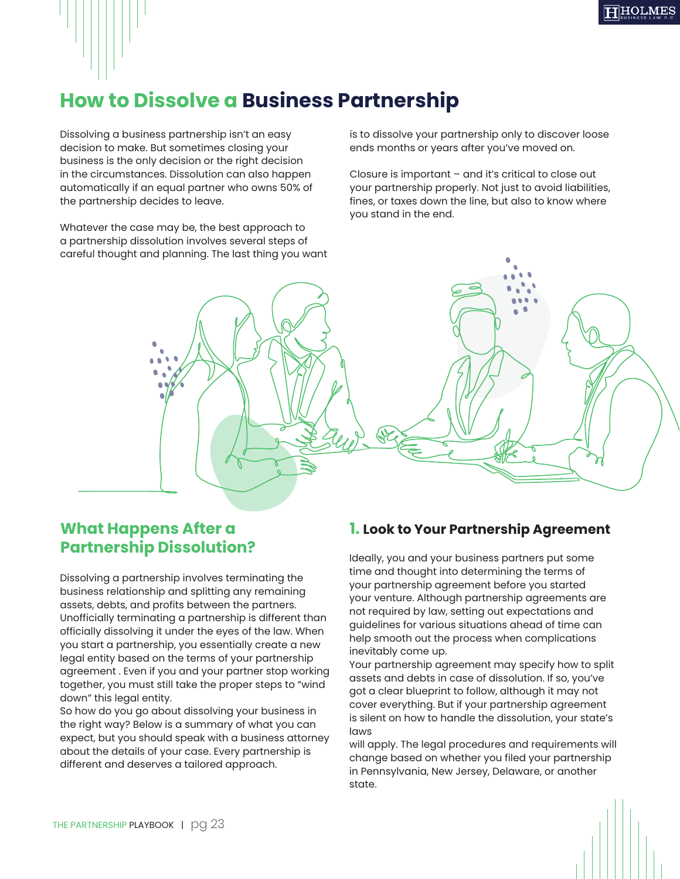## **How to Dissolve a Business Partnership**

Dissolving a business partnership isn't an easy decision to make. But sometimes closing your business is the only decision or the right decision in the circumstances. Dissolution can also happen automatically if an equal partner who owns 50% of the partnership decides to leave.

Whatever the case may be, the best approach to a partnership dissolution involves several steps of careful thought and planning. The last thing you want is to dissolve your partnership only to discover loose ends months or years after you've moved on.

Closure is important – and it's critical to close out your partnership properly. Not just to avoid liabilities, fines, or taxes down the line, but also to know where you stand in the end.



#### **What Happens After a Partnership Dissolution?**

Dissolving a partnership involves terminating the business relationship and splitting any remaining assets, debts, and profits between the partners. Unofficially terminating a partnership is different than officially dissolving it under the eyes of the law. When you start a partnership, you essentially create a new legal entity based on the terms of your partnership agreement . Even if you and your partner stop working together, you must still take the proper steps to "wind down" this legal entity.

So how do you go about dissolving your business in the right way? Below is a summary of what you can expect, but you should speak with a business attorney about the details of your case. Every partnership is different and deserves a tailored approach.

#### **1. Look to Your Partnership Agreement**

Ideally, you and your business partners put some time and thought into determining the terms of your partnership agreement before you started your venture. Although partnership agreements are not required by law, setting out expectations and guidelines for various situations ahead of time can help smooth out the process when complications inevitably come up.

Your partnership agreement may specify how to split assets and debts in case of dissolution. If so, you've got a clear blueprint to follow, although it may not cover everything. But if your partnership agreement is silent on how to handle the dissolution, your state's laws

will apply. The legal procedures and requirements will change based on whether you filed your partnership in Pennsylvania, New Jersey, Delaware, or another state.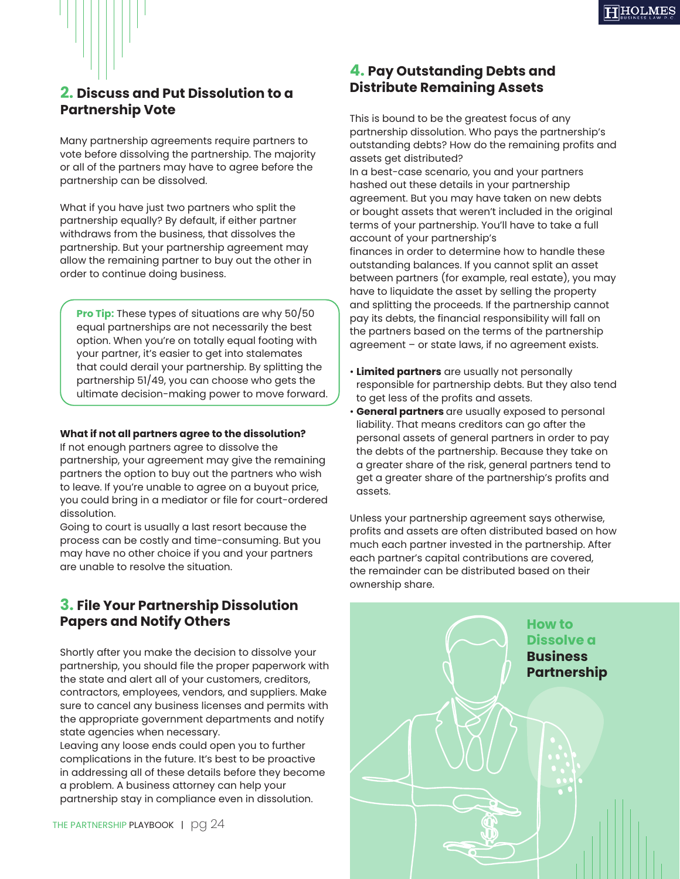

#### **2. Discuss and Put Dissolution to a Partnership Vote**

Many partnership agreements require partners to vote before dissolving the partnership. The majority or all of the partners may have to agree before the partnership can be dissolved.

What if you have just two partners who split the partnership equally? By default, if either partner withdraws from the business, that dissolves the partnership. But your partnership agreement may allow the remaining partner to buy out the other in order to continue doing business.

**Pro Tip:** These types of situations are why 50/50 equal partnerships are not necessarily the best option. When you're on totally equal footing with your partner, it's easier to get into stalemates that could derail your partnership. By splitting the partnership 51/49, you can choose who gets the ultimate decision-making power to move forward.

#### **What if not all partners agree to the dissolution?**

If not enough partners agree to dissolve the partnership, your agreement may give the remaining partners the option to buy out the partners who wish to leave. If you're unable to agree on a buyout price, you could bring in a mediator or file for court-ordered dissolution.

Going to court is usually a last resort because the process can be costly and time-consuming. But you may have no other choice if you and your partners are unable to resolve the situation.

#### **3. File Your Partnership Dissolution Papers and Notify Others**

Shortly after you make the decision to dissolve your partnership, you should file the proper paperwork with the state and alert all of your customers, creditors, contractors, employees, vendors, and suppliers. Make sure to cancel any business licenses and permits with the appropriate government departments and notify state agencies when necessary.

Leaving any loose ends could open you to further complications in the future. It's best to be proactive in addressing all of these details before they become a problem. A business attorney can help your partnership stay in compliance even in dissolution.

THE PARTNERSHIP PLAYBOOK | pg 24

#### **4. Pay Outstanding Debts and Distribute Remaining Assets**

This is bound to be the greatest focus of any partnership dissolution. Who pays the partnership's outstanding debts? How do the remaining profits and assets get distributed?

In a best-case scenario, you and your partners hashed out these details in your partnership agreement. But you may have taken on new debts or bought assets that weren't included in the original terms of your partnership. You'll have to take a full account of your partnership's

finances in order to determine how to handle these outstanding balances. If you cannot split an asset between partners (for example, real estate), you may have to liquidate the asset by selling the property and splitting the proceeds. If the partnership cannot pay its debts, the financial responsibility will fall on the partners based on the terms of the partnership agreement – or state laws, if no agreement exists.

- **Limited partners** are usually not personally responsible for partnership debts. But they also tend to get less of the profits and assets.
- **General partners** are usually exposed to personal liability. That means creditors can go after the personal assets of general partners in order to pay the debts of the partnership. Because they take on a greater share of the risk, general partners tend to get a greater share of the partnership's profits and assets.

Unless your partnership agreement says otherwise, profits and assets are often distributed based on how much each partner invested in the partnership. After each partner's capital contributions are covered, the remainder can be distributed based on their ownership share.